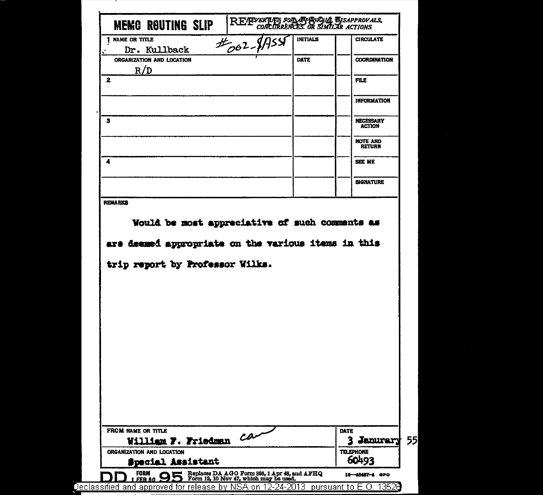| 1 NAME OR TITLE<br>$t_{062}$ -1                                                                                                          | <b>INITIALS</b> | <b>CIRCULATE</b>                  |
|------------------------------------------------------------------------------------------------------------------------------------------|-----------------|-----------------------------------|
| Dr. Kullback                                                                                                                             |                 |                                   |
| ORGANIZATION AND LOCATION                                                                                                                | <b>DATE</b>     | <b>COORDINATION</b>               |
| R/D                                                                                                                                      |                 |                                   |
| $\mathbf{z}$                                                                                                                             |                 | <b>FILE</b>                       |
|                                                                                                                                          |                 | <b>INFORMATION</b>                |
| з                                                                                                                                        |                 | <b>NECESSARY</b><br><b>ACTION</b> |
|                                                                                                                                          |                 | <b>NOTE AND</b><br><b>RETURN</b>  |
| 4                                                                                                                                        |                 | <b>SEE ME</b>                     |
|                                                                                                                                          |                 | <b>SIGNATURE</b>                  |
|                                                                                                                                          |                 |                                   |
| Would be most appreciative of such comments as<br>are deemed appropriate on the various items in this<br>trip report by Professor Wilks. |                 |                                   |
| <b>REMARKS</b>                                                                                                                           |                 |                                   |
|                                                                                                                                          |                 |                                   |
|                                                                                                                                          |                 |                                   |
|                                                                                                                                          |                 |                                   |
| FROM NAME OR TITLE                                                                                                                       |                 | <b>DATE</b>                       |
| William F. Friedman Car<br>ORGANIZATION AND LOCATION                                                                                     |                 | 3 Janurary                        |

.

Dе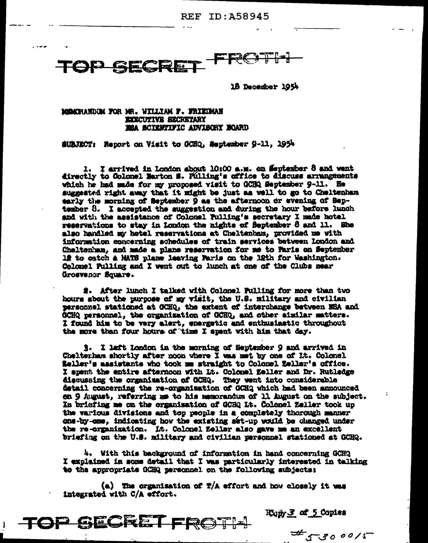**REF ID: A58945** 



18 December 1954

MOMORANDIM FOR MR. WILLIAM F. FRIEDMAN EXECUTIVE SECRETARY MEA SCIENTIFIC ADVISORY BOARD

SUBJECT: Report on Visit to OCHQ, September 9-11, 1954

1. I arrived in London about 10:00 a.m. on September 8 and went directly to Colomel Barton S. Pulling's office to discuss arrangements which he had made for my proposed visit to GCHQ September 9-11. He suggested right away that it might be just as well to go to Cheltenham early the morning of September 9 as the afternoon or evening of September 8. I accepted the suggestion and during the hour before lunch and with the assistance of Colonel Pulling's secretary I made hotel reservations to stay in London the nights of September 8 and 11. She also handled my hotel reservations at Cheltenham, provided me with information concerning schedules of train services between London and Cheltenham, and made a plane reservation for me to Faris on September 12 to eatch a MATS plane leaving Paris on the 12th for Washington. Colomel Pulling and I went out to lunch at one of the Clubs near Grosvenor Square.

2. After lunch I talked with Colonel Fulling for more than two hours about the purpose of my visit, the U.S. military and civilian personnel stationed at GCHQ, the extent of interchange between NBA and GCHQ personnel, the organization of GCHQ, and other similar matters. I found him to be very alert, energetic and enthusiastic throughout the more than four hours of time I spent with him that day.

3. I left london in the morning of September 9 and arrived in Chelterham shortly after noon where I was met by one of It. Colonel feller's assistants who took me straight to Colonel Zeller's office. I spent the entire afternoon with Lt. Colonal Eeller and Dr. Rutledge discussing the organization of GCHQ. They went into considerable detail concerning the re-organization of GCHQ which had been announced en 9 August, referring me to his memorandum of 11 August on the subject. In briefing me on the organization of GCHQ It. Colonel Zeller took up the various divisions and top people in a completely thorough manner one-by-one, indicating how the existing set-up would be changed under the re-organization. It. Colomel Zeller also gave me an excellent briefing on the U.S. military and civilian personnel stationed at GCHQ.

4. With this background of information in hand concerning GCH2 I explained in some detail that I was particularly interested in talking to the appropriate GCHQ personnel on the following subjects:

(a) The organization of  $T/A$  effort and how closely it was integrated with C/A effort.



**Ropy 3 of 5 Copies** 

 $\frac{4}{55800015}$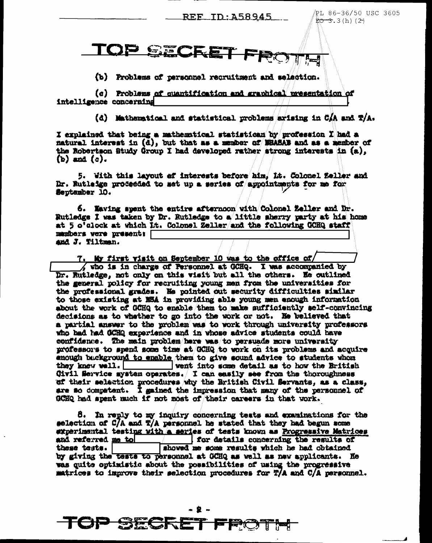<u>REF ID:A58945</u>

PL 86-36/50 USC 3605  $EO-3.3(h)$  (2)

 $\frac{1}{2}$  in  $\frac{1}{2}$  in  $\frac{1}{2}$ FROTH

(b) Problems of personnel recruitment and selection.

(c) Problems of quantification and graphical presentation of intelligence concerning

(d) Mathematical and statistical problems arising in CAA and T/A.

I explained that being a mathematical statistican by profession I had a natural interest in (d), but that as a member of WHASAB and as a member of the Robertson Study Group I had developed rather strong interests in (a),  $(b)$  and  $(c)$ .

5. With this layout of interests before him, Lt. Colonel feller and Dr. Rutleige proceeded to set up a series of appointments for me for September 10.

6. Naving spent the entire afternoon with Colonel Zeller and Dr. Rutledge I was taken by Dr. Rutledge to a little sherry party at his home at 5 o'clock at which it. Colonel Zeller/and the following GCHQ staff members vere present: and J. Tiltman.

7. My first visit on September 10 was to the office of/ who is in charge of Personnel at GCHQ. I was accompanied by Dr. Rutledge, not only on this visit but all the others. He outlined the general policy for recruiting young men from the universities for the professional grades. He pointed out security difficulties similar to those existing at NSA in providing able young men enough information about the work of GCHQ to enable them to make sufficiently self-convincing decisions as to whather to go into the work or not. He believed that a partial answer to the problem was to work through university professors who had had GCHQ experience and in whose advice students could have confidence. The main problem here was to persuade more university mofessors to spend some time at GCHQ to work on its problems and acquire enough buckground to enable them to give sound advice to students whom they knew well. went into some detail as to how the British Civil Service mystem operates. I can easily see from the thoroughness ef their selection procedures why the British Civil Servants, as a class, are so competent. I gained the impression that many of the personnel of GCHQ had spent much if not most of their careers in that work.

8. In reply to my inquiry concerning tests and examinations for the selection of C/A and T/A personnel he stated that they had begun some experimental testing with a series of tests known as Progressive Matrices and referred me to the same of the same of the same of the same of the same of the same of the same of the same of the same of the same of the same of the same of the same of the same of the same of the same of the same of for details concerning the results of showed me some results which he had obtained these tests. | by giving the tests to personnel at OCHQ as well as new applicants. He was quite optimistic about the possibilities of using the progressive matrices to improve their selection procedures for T/A and C/A personnel.

> . . . **BECRET FRO**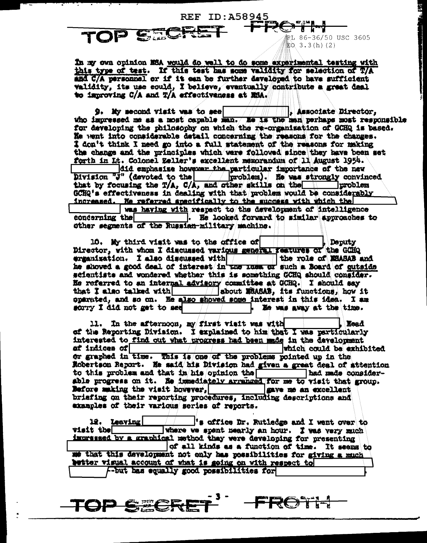In my own opinion NSA would do well to do some experimental testing with this type of test. If this test has some validity for selection of T/A and C/A personnel or if it can be further developed to have sufficient validity, its use could, I believe, eventually contribute a great deal to improving C/A and T/A effectiveness at NSA.

**REF ID:A58945** 

RL 86-36/50 USC 3605

to 3.3(h)(2)

 $\mathbf{C} =$ 

TOP

TOP SEE

 $9$ . My second visit was to see  $\| \cdot \|_p$  Associate Director, who impressed me as a most capable man. He is the man perhaps most responsible for developing the philosophy on which the re-organization of GCHQ is based. He went into considerable datail concerning the reasons for the changes. I don't think I need go into a full statement of the reasons for making the change and the principles which were followed since they have been set forth in It. Colonel Zeller's excellent memorandum of 11 August 1954. did emphasize however the particular importance of the new Division "J" (devoted to the voolem). He was strongly convinced that by focusing the T/A, C/A, and other skills on the yroblem GCHQ's effectiveness in dealing with that problem would be considerably increased. He referred apacifically to the success with which the

was having with respect to the development of intelligence concerning the . He looked forward to similar approaches to other segments of the Russian-military machine.

10. My third visit was to the office of Deputy Director, with whom I discussed various general restures of the GCHQ the role of MSASAB and scientists and wondered whether this is something GCHQ should consider. He referred to an internal advisory committee at GCHQ. I should say that I also talked with | | | | about MSASAS, its functions, how it oparated, and so on. He also showed some interest in this idea. I am sorry I did not get to see He was away at the time.

11. In the afternoon, my first visit was with  $\begin{array}{|l|l|}\n\hline\n\end{array}$  af the Reporting Division. I explained to him that I was particularly interested to find out what progress had been made in the development ef indices of which could be exhibited or graphed in time. This is one of the problems pointed up in the Robertson Report. He said his Division had given a great deal of attention to this problem and that in his opinion the had made consider-<br>able progress on it. He immediately arranged for me to visit that group. had made consider-Before making the visit however, save me an excellent briefing on their reporting procedures, including descriptions and examples of their various series of reports.

12. Leaving "s office Dr. Rutledge and I went over to visit the! where we spent nearly an hour. I was very much impressed by a graphical method thay were developing for presenting of all kinds as a function of time. It seems to me that this development not only has possibilities for giving a much better visual account of what is going on with respect to -but has equally good possibilities for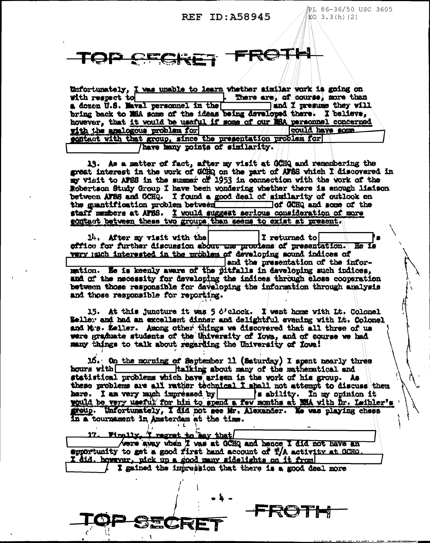## REF ID: A58945

PL 86-36/50 USC 3605  $\overline{R}$  3.3(h)(2)



Unfortunately. I was unable to learn whether similar work is going on with respect to There are, of course, more than a dozen U.S. Maval personnel in the and I presume they will bring back to MEA some of the ideas being developed there. I believe, however, that it would be useful if some of our NSA personnel concerned with the analogous problem for could have some sontact with that group, since the presentation problem for have hany points of similarity.

13. As a matter of fact, after my visit at GCHQ and remembering the great interest in the work of GCHQ on the part of AFSS which I discovered in my visit to AFSS in the summer of 1953 in connection with the work of the Robertson Study Group I have been wondering whether there is enough lisison between AFSS and GCHQ. I found a good deal of similarity of outlook on the muntification problem between the form of dCHQ and some of the staff members at AFBS. I would suggest serious consideration of more gontact between these two groups than seems to exist at present.

14. After my visit with the  $\begin{array}{|c|c|c|c|}\n\hline\n\text{a} & \text{if} & \text{if} & \text{if} & \text{if} & \text{if} & \text{if} & \text{if} & \text{if} & \text{if} & \text{if} & \text{if} & \text{if} & \text{if} & \text{if} & \text{if} & \text{if} & \text{if} & \text{if} & \text{if} & \text{if} & \text{if} & \text{if} & \text{if} & \text{if} & \text{if} & \text{if} & \text{if} & \text{if$ He Is wary much interested in the problem of developing sound indices of and the presentation of the infor-

mation. He is keenly aware of the pitfalls in developing such indices, and of the necessity for developing the indices through close cooperation between those responsible for developing the information through analysis and those responsible for reporting.

15. At this juncture it was 5 d'elock. I went home with It. Colonel Weller and had an excellent dinner and delightful evening with Lt. Colonel and Mrs. Zeller. Among other things we discovered that all three of us were graduate students of the University of Iowa, and of course we had many things to talk about regarding the University of Towa!

15. On the morning of September 11 (Saturday) I spent nearly three Italking about many of the mathematical and hours with statistical problems which have arisen in the work of his group. As these problems are all rather technical I shall not attempt to discuss them here. I am very much impressed by | sability. In my opinion it would be very useful for him to spend a few months at NSA with Dr. Leibler's here. I am very much impressed by group. Unfortunately, I did not see Mr. Alexander. No was playing chess in a tournament in Amsterdam at the time.

17. Finally, I regret to Bay that

were away when I was at GCHQ and hence I did not have an epportunity to get a good first hand account of T/A activity at GCHO. did, however, pick up a good meny sidelights on it from

I gained the impression that there is a good deal more

FRO